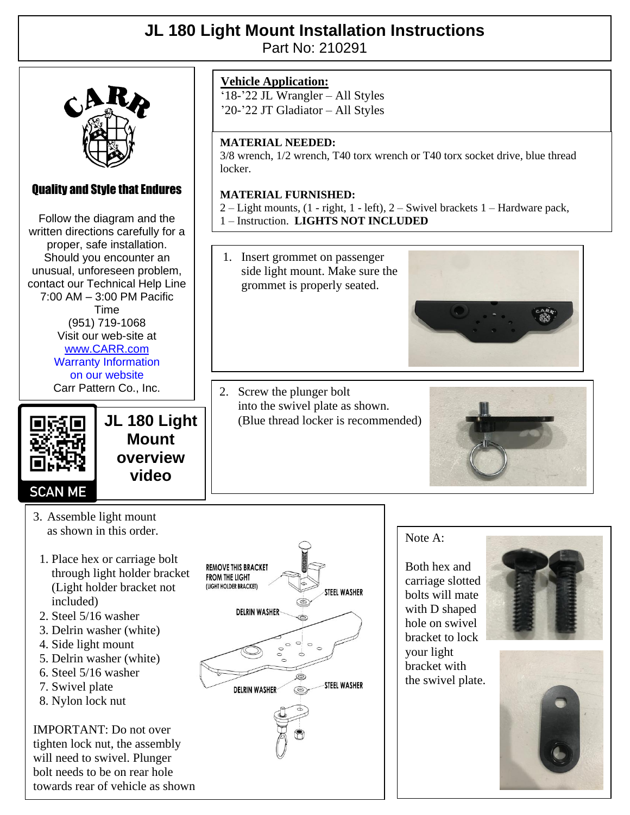## **JL 180 Light Mount Installation Instructions**

Part No: 210291